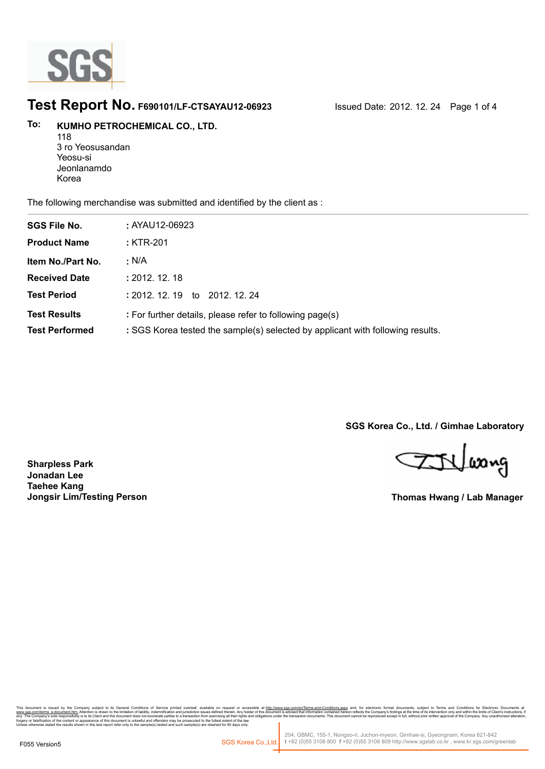

### **Test Report No. F690101/LF-CTSAYAU12-06923** Issued Date: 2012. 12. 24 Page 1 of 4

#### **KUMHO PETROCHEMICAL CO., LTD. To:**

118 3 ro Yeosusandan Yeosu-si Jeonlanamdo Korea

The following merchandise was submitted and identified by the client as :

| <b>SGS File No.</b>                          | : AYAU12-06923                                                                                                                             |
|----------------------------------------------|--------------------------------------------------------------------------------------------------------------------------------------------|
| <b>Product Name</b>                          | : KTR-201                                                                                                                                  |
| Item No./Part No.                            | : N/A                                                                                                                                      |
| <b>Received Date</b>                         | : 2012.12.18                                                                                                                               |
| <b>Test Period</b>                           | : 2012.12.19<br>to 2012, 12, 24                                                                                                            |
| <b>Test Results</b><br><b>Test Performed</b> | : For further details, please refer to following page(s)<br>: SGS Korea tested the sample(s) selected by applicant with following results. |

**SGS Korea Co., Ltd. / Gimhae Laboratory**

ETVlasng

**Thomas Hwang / Lab Manager**

**Sharpless Park Jonadan Lee Taehee Kang Jongsir Lim/Testing Person**

onic Tormar, documents, subject to Terms and Condutors for Electronic Documents<br>mpany's findings at the time of its intervention only and within the limits of Client's instructions<br>duced except in full, without prior writt forgery or falsification of the content or appearance of this document is unlawful and offenders may be prosecuted to the fullest extent of the law<br>Unless otherwise stated the results shown in this test report refer only t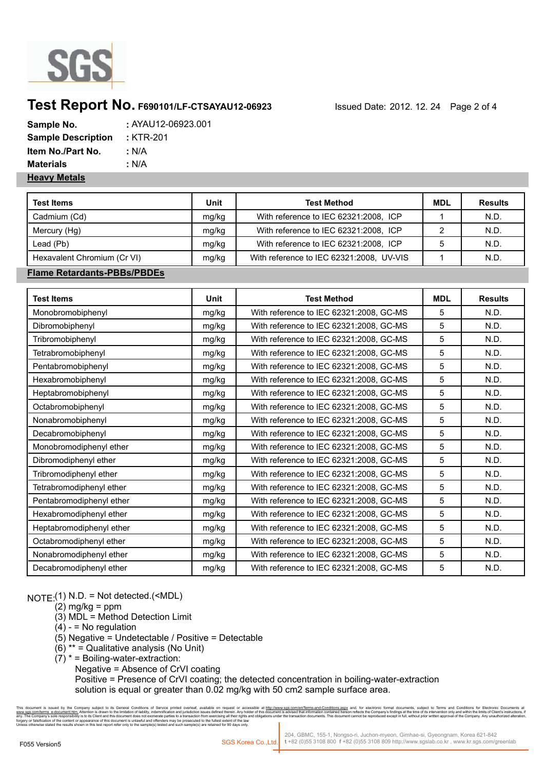

## **Test Report No. F690101/LF-CTSAYAU12-06923** Issued Date: 2012. 12. 24 Page 2 of 4

| Sample No.                | : AYAU12-06923.001 |
|---------------------------|--------------------|
| <b>Sample Description</b> | : KTR-201          |
| Item No./Part No.         | : N/A              |
| <b>Materials</b>          | : N/A              |
| <b>Heavy Metals</b>       |                    |

| <b>Test Items</b>           | Unit  | <b>Test Method</b>                       | MDL | <b>Results</b> |
|-----------------------------|-------|------------------------------------------|-----|----------------|
| Cadmium (Cd)                | mg/kg | With reference to IEC 62321:2008, ICP    |     | N.D.           |
| Mercury (Hg)                | mg/kg | With reference to IEC 62321:2008, ICP    |     | N.D.           |
| Lead (Pb)                   | mg/kg | With reference to IEC 62321:2008, ICP    |     | N.D.           |
| Hexavalent Chromium (Cr VI) | mg/kg | With reference to IEC 62321:2008, UV-VIS |     | N.D.           |

#### **Flame Retardants-PBBs/PBDEs**

| <b>Test Items</b>        | Unit  | <b>Test Method</b>                      | <b>MDL</b> | <b>Results</b> |
|--------------------------|-------|-----------------------------------------|------------|----------------|
| Monobromobiphenyl        | mg/kg | With reference to IEC 62321:2008, GC-MS | 5          | N.D.           |
| Dibromobiphenyl          | mg/kg | With reference to IEC 62321:2008, GC-MS | 5          | N.D.           |
| Tribromobiphenyl         | mg/kg | With reference to IEC 62321:2008, GC-MS | 5          | N.D.           |
| Tetrabromobiphenyl       | mg/kg | With reference to IEC 62321:2008, GC-MS | 5          | N.D.           |
| Pentabromobiphenyl       | mg/kg | With reference to IEC 62321:2008, GC-MS | 5          | N.D.           |
| Hexabromobiphenyl        | mg/kg | With reference to IEC 62321:2008, GC-MS | 5          | N.D.           |
| Heptabromobiphenyl       | mg/kg | With reference to IEC 62321:2008, GC-MS | 5          | N.D.           |
| Octabromobiphenyl        | mg/kg | With reference to IEC 62321:2008, GC-MS | 5          | N.D.           |
| Nonabromobiphenyl        | mg/kg | With reference to IEC 62321:2008, GC-MS | 5          | N.D.           |
| Decabromobiphenyl        | mg/kg | With reference to IEC 62321:2008, GC-MS | 5          | N.D.           |
| Monobromodiphenyl ether  | mg/kg | With reference to IEC 62321:2008, GC-MS | 5          | N.D.           |
| Dibromodiphenyl ether    | mg/kg | With reference to IEC 62321:2008, GC-MS | 5          | N.D.           |
| Tribromodiphenyl ether   | mg/kg | With reference to IEC 62321:2008, GC-MS | 5          | N.D.           |
| Tetrabromodiphenyl ether | mg/kg | With reference to IEC 62321:2008, GC-MS | 5          | N.D.           |
| Pentabromodiphenyl ether | mg/kg | With reference to IEC 62321:2008, GC-MS | 5          | N.D.           |
| Hexabromodiphenyl ether  | mg/kg | With reference to IEC 62321:2008, GC-MS | 5          | N.D.           |
| Heptabromodiphenyl ether | mg/kg | With reference to IEC 62321:2008, GC-MS | 5          | N.D.           |
| Octabromodiphenyl ether  | mg/kg | With reference to IEC 62321:2008, GC-MS | 5          | N.D.           |
| Nonabromodiphenyl ether  | mg/kg | With reference to IEC 62321:2008, GC-MS | 5          | N.D.           |
| Decabromodiphenyl ether  | mg/kg | With reference to IEC 62321:2008, GC-MS | 5          | N.D.           |

NOTE:(1) N.D. = Not detected.(<MDL)

- $(2)$  mg/kg = ppm
- (3) MDL = Method Detection Limit
- $(4) 10$  regulation
- (5) Negative = Undetectable / Positive = Detectable
- $(6)$  \*\* = Qualitative analysis (No Unit)
- $(7)^*$  = Boiling-water-extraction:
	- Negative = Absence of CrVI coating

 Positive = Presence of CrVI coating; the detected concentration in boiling-water-extraction solution is equal or greater than 0.02 mg/kg with 50 cm2 sample surface area.

nany subject to its General Conditions of Service printed overleaf, available on request or accessible at h<u>ttp://www.ags.com/en/Terms-and-Conditions.aspx</u> and, for electronic format documents, subject to Terms and Conditi forgery or falsification of the content or appearance of this document is unlawful and offenders may be prosecuted to the fullest extent of the law<br>Unless otherwise stated the results shown in this test report refer only t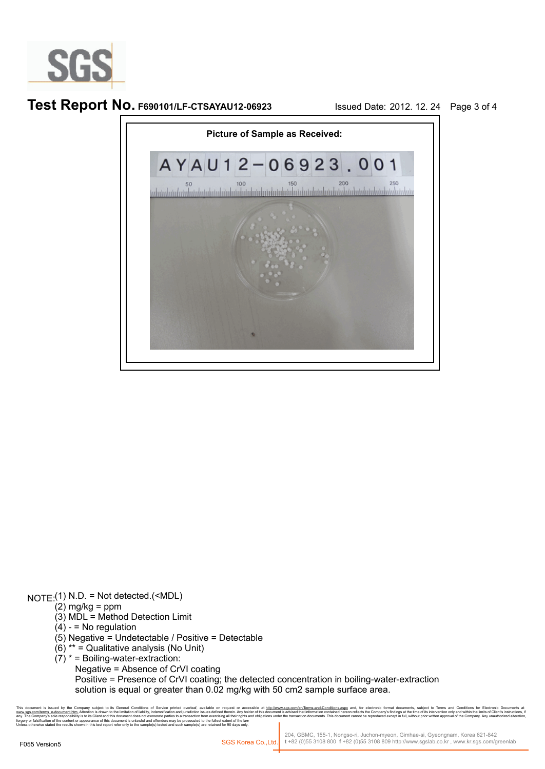

**Test Report No. F690101/LF-CTSAYAU12-06923** Issued Date: 2012. 12. 24 Page 3 of 4



NOTE:(1) N.D. = Not detected.(<MDL)

- $(2)$  mg/kg = ppm
- (3) MDL = Method Detection Limit
- $(4) 10$  regulation
- (5) Negative = Undetectable / Positive = Detectable
- $(6)$ <sup>\*\*</sup> = Qualitative analysis (No Unit)
- $(7)^*$  = Boiling-water-extraction:

Negative = Absence of CrVI coating

 Positive = Presence of CrVI coating; the detected concentration in boiling-water-extraction solution is equal or greater than 0.02 mg/kg with 50 cm2 sample surface area.

at documents, subject to Terms and Conditions for Electronic Document:<br>indings at the time of its intervention only and within the limits of Client's instructio<br>cept in full, without prior written approval of the Company. forgery or falsification of the content or appearance of this document is unlawful and offenders may be prosecuted to the fullest extent of the law<br>Unless otherwise stated the results shown in this test report refer only t